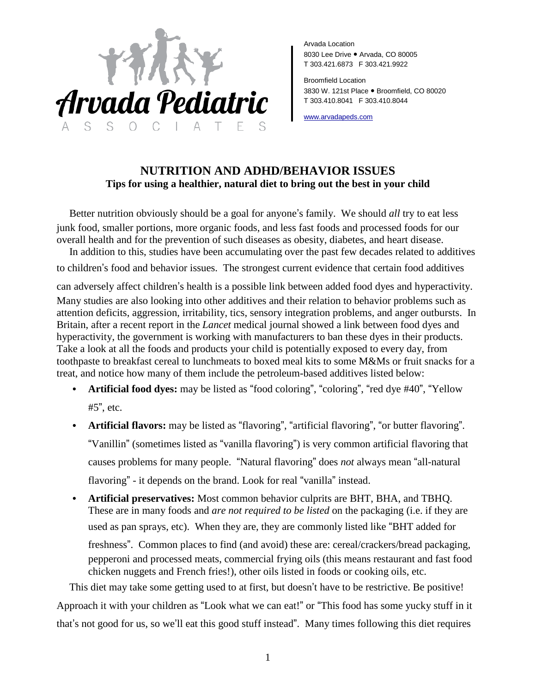

Arvada Location 8030 Lee Drive ● Arvada, CO 80005 T 303.421.6873 F 303.421.9922

Broomfield Location 3830 W. 121st Place ● Broomfield, CO 80020 T 303.410.8041 F 303.410.8044

[www.arvadapeds.com](http://www.arvadapeds.com/)

## **NUTRITION AND ADHD/BEHAVIOR ISSUES Tips for using a healthier, natural diet to bring out the best in your child**

Better nutrition obviously should be a goal for anyone's family. We should *all* try to eat less junk food, smaller portions, more organic foods, and less fast foods and processed foods for our overall health and for the prevention of such diseases as obesity, diabetes, and heart disease.

In addition to this, studies have been accumulating over the past few decades related to additives

to children's food and behavior issues. The strongest current evidence that certain food additives

can adversely affect children's health is a possible link between added food dyes and hyperactivity. Many studies are also looking into other additives and their relation to behavior problems such as attention deficits, aggression, irritability, tics, sensory integration problems, and anger outbursts. In Britain, after a recent report in the *Lancet* medical journal showed a link between food dyes and hyperactivity, the government is working with manufacturers to ban these dyes in their products. Take a look at all the foods and products your child is potentially exposed to every day, from toothpaste to breakfast cereal to lunchmeats to boxed meal kits to some M&Ms or fruit snacks for a treat, and notice how many of them include the petroleum-based additives listed below:

- **Artificial food dyes:** may be listed as "food coloring", "coloring", "red dye #40", "Yellow #5", etc.
- **Artificial flavors:** may be listed as "flavoring", "artificial flavoring", "or butter flavoring". "Vanillin" (sometimes listed as "vanilla flavoring") is very common artificial flavoring that causes problems for many people. "Natural flavoring" does *not* always mean "all-natural flavoring" - it depends on the brand. Look for real "vanilla" instead.
- **Artificial preservatives:** Most common behavior culprits are BHT, BHA, and TBHQ. These are in many foods and *are not required to be listed* on the packaging (i.e. if they are used as pan sprays, etc). When they are, they are commonly listed like "BHT added for freshness". Common places to find (and avoid) these are: cereal/crackers/bread packaging, pepperoni and processed meats, commercial frying oils (this means restaurant and fast food chicken nuggets and French fries!), other oils listed in foods or cooking oils, etc.

This diet may take some getting used to at first, but doesn't have to be restrictive. Be positive! Approach it with your children as "Look what we can eat!" or "This food has some yucky stuff in it that's not good for us, so we'll eat this good stuff instead". Many times following this diet requires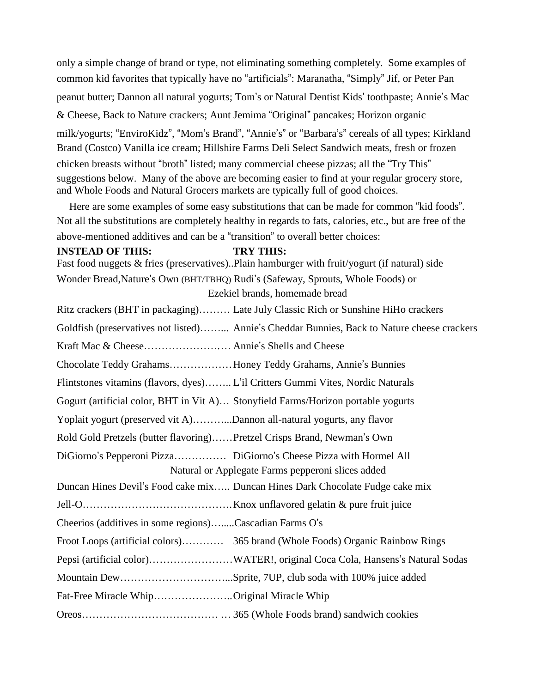only a simple change of brand or type, not eliminating something completely. Some examples of common kid favorites that typically have no "artificials": Maranatha, "Simply" Jif, or Peter Pan peanut butter; Dannon all natural yogurts; Tom's or Natural Dentist Kids' toothpaste; Annie's Mac & Cheese, Back to Nature crackers; Aunt Jemima "Original" pancakes; Horizon organic milk/yogurts; "EnviroKidz", "Mom's Brand", "Annie's" or "Barbara's" cereals of all types; Kirkland Brand (Costco) Vanilla ice cream; Hillshire Farms Deli Select Sandwich meats, fresh or frozen chicken breasts without "broth" listed; many commercial cheese pizzas; all the "Try This" suggestions below. Many of the above are becoming easier to find at your regular grocery store, and Whole Foods and Natural Grocers markets are typically full of good choices.

Here are some examples of some easy substitutions that can be made for common "kid foods". Not all the substitutions are completely healthy in regards to fats, calories, etc., but are free of the above-mentioned additives and can be a "transition" to overall better choices:

#### **INSTEAD OF THIS: TRY THIS:**

Fast food nuggets & fries (preservatives)..Plain hamburger with fruit/yogurt (if natural) side Wonder Bread,Nature's Own (BHT/TBHQ) Rudi's (Safeway, Sprouts, Whole Foods) or Ezekiel brands, homemade bread

Ritz crackers (BHT in packaging)……… Late July Classic Rich or Sunshine HiHo crackers Goldfish (preservatives not listed)……... Annie's Cheddar Bunnies, Back to Nature cheese crackers Kraft Mac & Cheese………………….… Annie's Shells and Cheese Chocolate Teddy Grahams………………Honey Teddy Grahams, Annie's Bunnies Flintstones vitamins (flavors, dyes)…….. L'il Critters Gummi Vites, Nordic Naturals Gogurt (artificial color, BHT in Vit A)… Stonyfield Farms/Horizon portable yogurts Yoplait yogurt (preserved vit A)………...Dannon all-natural yogurts, any flavor Rold Gold Pretzels (butter flavoring)……Pretzel Crisps Brand, Newman's Own DiGiorno's Pepperoni Pizza…………… DiGiorno's Cheese Pizza with Hormel All Natural or Applegate Farms pepperoni slices added Duncan Hines Devil's Food cake mix….. Duncan Hines Dark Chocolate Fudge cake mix Jell-O…………………………………….Knox unflavored gelatin & pure fruit juice Cheerios (additives in some regions)….....Cascadian Farms O's Froot Loops (artificial colors)………… 365 brand (Whole Foods) Organic Rainbow Rings Pepsi (artificial color)……………………WATER!, original Coca Cola, Hansens's Natural Sodas Mountain Dew…………………………...Sprite, 7UP, club soda with 100% juice added Fat-Free Miracle Whip…………………..Original Miracle Whip Oreos………………………………… … 365 (Whole Foods brand) sandwich cookies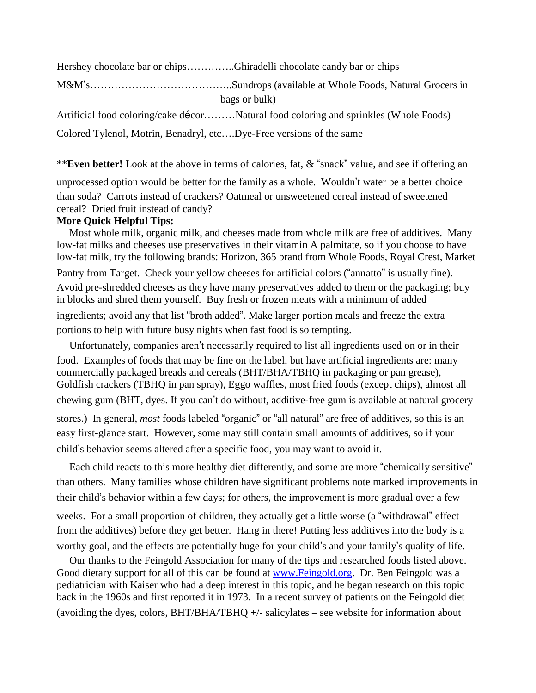Hershey chocolate bar or chips…………..Ghiradelli chocolate candy bar or chips

M&M's…………………………………..Sundrops (available at Whole Foods, Natural Grocers in bags or bulk)

Artificial food coloring/cake décor………Natural food coloring and sprinkles (Whole Foods)

Colored Tylenol, Motrin, Benadryl, etc….Dye-Free versions of the same

\*\***Even better!** Look at the above in terms of calories, fat, & "snack" value, and see if offering an

unprocessed option would be better for the family as a whole. Wouldn't water be a better choice than soda? Carrots instead of crackers? Oatmeal or unsweetened cereal instead of sweetened cereal? Dried fruit instead of candy?

## **More Quick Helpful Tips:**

Most whole milk, organic milk, and cheeses made from whole milk are free of additives. Many low-fat milks and cheeses use preservatives in their vitamin A palmitate, so if you choose to have low-fat milk, try the following brands: Horizon, 365 brand from Whole Foods, Royal Crest, Market Pantry from Target. Check your yellow cheeses for artificial colors ("annatto" is usually fine). Avoid pre-shredded cheeses as they have many preservatives added to them or the packaging; buy in blocks and shred them yourself. Buy fresh or frozen meats with a minimum of added ingredients; avoid any that list "broth added". Make larger portion meals and freeze the extra portions to help with future busy nights when fast food is so tempting.

Unfortunately, companies aren't necessarily required to list all ingredients used on or in their food. Examples of foods that may be fine on the label, but have artificial ingredients are: many commercially packaged breads and cereals (BHT/BHA/TBHQ in packaging or pan grease), Goldfish crackers (TBHQ in pan spray), Eggo waffles, most fried foods (except chips), almost all chewing gum (BHT, dyes. If you can't do without, additive-free gum is available at natural grocery stores.) In general, *most* foods labeled "organic" or "all natural" are free of additives, so this is an easy first-glance start. However, some may still contain small amounts of additives, so if your child's behavior seems altered after a specific food, you may want to avoid it.

Each child reacts to this more healthy diet differently, and some are more "chemically sensitive" than others. Many families whose children have significant problems note marked improvements in their child's behavior within a few days; for others, the improvement is more gradual over a few weeks. For a small proportion of children, they actually get a little worse (a "withdrawal" effect from the additives) before they get better. Hang in there! Putting less additives into the body is a worthy goal, and the effects are potentially huge for your child's and your family's quality of life.

Our thanks to the Feingold Association for many of the tips and researched foods listed above. Good dietary support for all of this can be found at [www.Feingold.org.](http://www.feingold.org/) Dr. Ben Feingold was a pediatrician with Kaiser who had a deep interest in this topic, and he began research on this topic back in the 1960s and first reported it in 1973. In a recent survey of patients on the Feingold diet (avoiding the dyes, colors,  $BHT/BHA/TBHQ$  +/- salicylates – see website for information about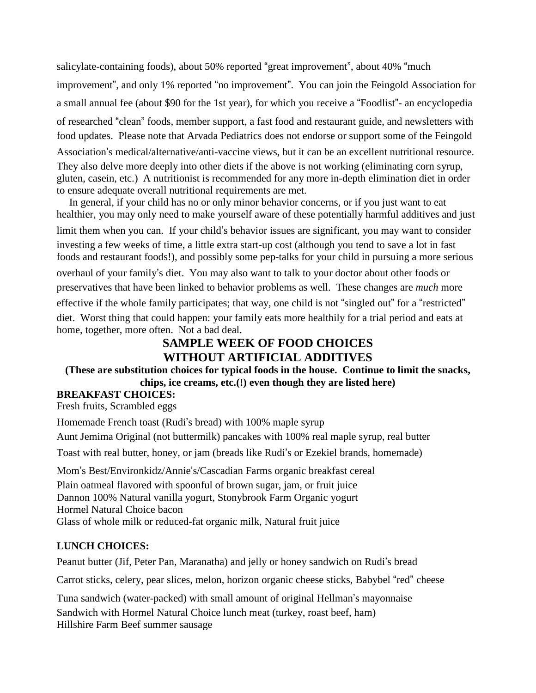salicylate-containing foods), about 50% reported "great improvement", about 40% "much improvement", and only 1% reported "no improvement". You can join the Feingold Association for a small annual fee (about \$90 for the 1st year), for which you receive a "Foodlist"- an encyclopedia of researched "clean" foods, member support, a fast food and restaurant guide, and newsletters with food updates. Please note that Arvada Pediatrics does not endorse or support some of the Feingold Association's medical/alternative/anti-vaccine views, but it can be an excellent nutritional resource. They also delve more deeply into other diets if the above is not working (eliminating corn syrup, gluten, casein, etc.) A nutritionist is recommended for any more in-depth elimination diet in order to ensure adequate overall nutritional requirements are met.

In general, if your child has no or only minor behavior concerns, or if you just want to eat healthier, you may only need to make yourself aware of these potentially harmful additives and just limit them when you can. If your child's behavior issues are significant, you may want to consider investing a few weeks of time, a little extra start-up cost (although you tend to save a lot in fast foods and restaurant foods!), and possibly some pep-talks for your child in pursuing a more serious overhaul of your family's diet. You may also want to talk to your doctor about other foods or preservatives that have been linked to behavior problems as well. These changes are *much* more effective if the whole family participates; that way, one child is not "singled out" for a "restricted" diet. Worst thing that could happen: your family eats more healthily for a trial period and eats at home, together, more often. Not a bad deal.

# **SAMPLE WEEK OF FOOD CHOICES WITHOUT ARTIFICIAL ADDITIVES**

### **(These are substitution choices for typical foods in the house. Continue to limit the snacks, chips, ice creams, etc.(!) even though they are listed here)**

## **BREAKFAST CHOICES:**

Fresh fruits, Scrambled eggs

Homemade French toast (Rudi's bread) with 100% maple syrup

Aunt Jemima Original (not buttermilk) pancakes with 100% real maple syrup, real butter

Toast with real butter, honey, or jam (breads like Rudi's or Ezekiel brands, homemade)

Mom's Best/Environkidz/Annie's/Cascadian Farms organic breakfast cereal

Plain oatmeal flavored with spoonful of brown sugar, jam, or fruit juice Dannon 100% Natural vanilla yogurt, Stonybrook Farm Organic yogurt Hormel Natural Choice bacon Glass of whole milk or reduced-fat organic milk, Natural fruit juice

## **LUNCH CHOICES:**

Peanut butter (Jif, Peter Pan, Maranatha) and jelly or honey sandwich on Rudi's bread

Carrot sticks, celery, pear slices, melon, horizon organic cheese sticks, Babybel "red" cheese

Tuna sandwich (water-packed) with small amount of original Hellman's mayonnaise

Sandwich with Hormel Natural Choice lunch meat (turkey, roast beef, ham) Hillshire Farm Beef summer sausage